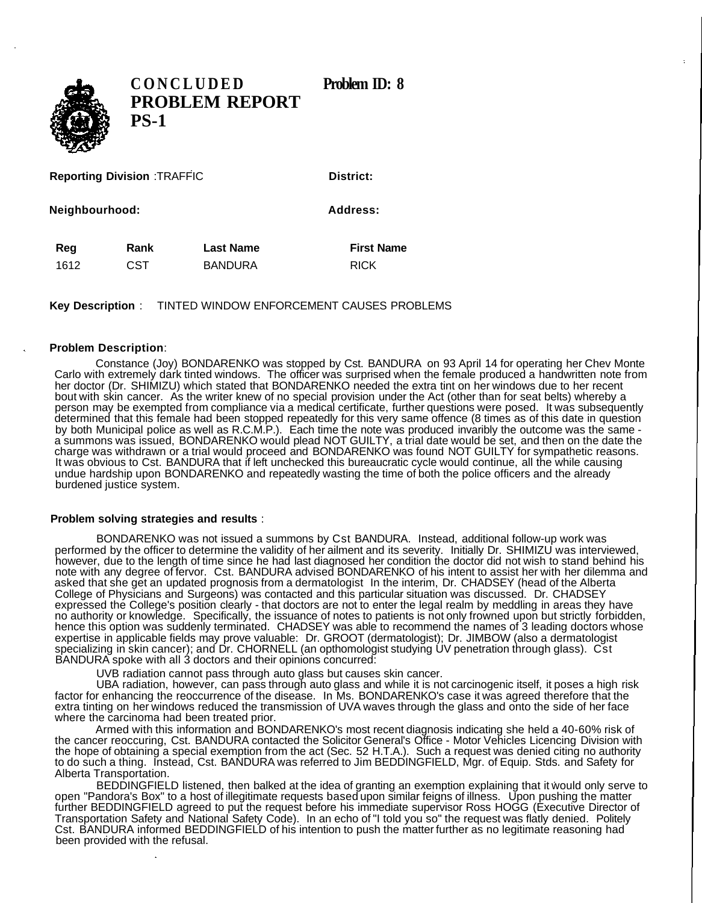

**CONCLUDE D Problem ID: 8 PROBLEM REPORT PS-1**

**Reporting Division** :TRAFFIC

**Neighbourhood:** Address:

**Reg Rank Last Name First Name** 1612 CST BANDURA RICK

**Key Description** : TINTED WINDOW ENFORCEMENT CAUSES PROBLEMS

## **Problem Description**:

Constance (Joy) BONDARENKO was stopped by Cst. BANDURA on 93 April 14 for operating her Chev Monte Carlo with extremely dark tinted windows. The officer was surprised when the female produced a handwritten note from her doctor (Dr. SHIMIZU) which stated that BONDARENKO needed the extra tint on her windows due to her recent bout with skin cancer. As the writer knew of no special provision under the Act (other than for seat belts) whereby a person may be exempted from compliance via a medical certificate, further questions were posed. It was subsequently determined that this female had been stopped repeatedly for this very same offence (8 times as of this date in question by both Municipal police as well as R.C.M.P.). Each time the note was produced invaribly the outcome was the same a summons was issued, BONDARENKO would plead NOT GUILTY, a trial date would be set, and then on the date the charge was withdrawn or a trial would proceed and BONDARENKO was found NOT GUILTY for sympathetic reasons. It was obvious to Cst. BANDURA that if left unchecked this bureaucratic cycle would continue, all the while causing undue hardship upon BONDARENKO and repeatedly wasting the time of both the police officers and the already burdened justice system.

## **Problem solving strategies and results** :

BONDARENKO was not issued a summons by Cst BANDURA. Instead, additional follow-up work was performed by the officer to determine the validity of her ailment and its severity. Initially Dr. SHIMIZU was interviewed, however, due to the length of time since he had last diagnosed her condition the doctor did not wish to stand behind his note with any degree of fervor. Cst. BANDURA advised BONDARENKO of his intent to assist her with her dilemma and asked that she get an updated prognosis from a dermatologist In the interim, Dr. CHADSEY (head of the Alberta College of Physicians and Surgeons) was contacted and this particular situation was discussed. Dr. CHADSEY expressed the College's position clearly - that doctors are not to enter the legal realm by meddling in areas they have no authority or knowledge. Specifically, the issuance of notes to patients is not only frowned upon but strictly forbidden, hence this option was suddenly terminated. CHADSEY was able to recommend the names of 3 leading doctors whose expertise in applicable fields may prove valuable: Dr. GROOT (dermatologist); Dr. JIMBOW (also a dermatologist specializing in skin cancer); and Dr. CHORNELL (an opthomologist studying UV penetration through glass). Cst BANDURA spoke with all 3 doctors and their opinions concurred:

UVB radiation cannot pass through auto glass but causes skin cancer.

UBA radiation, however, can pass through auto glass and while it is not carcinogenic itself, it poses a high risk factor for enhancing the reoccurrence of the disease. In Ms. BONDARENKO's case it was agreed therefore that the extra tinting on her windows reduced the transmission of UVA waves through the glass and onto the side of her face where the carcinoma had been treated prior.

Armed with this information and BONDARENKO's most recent diagnosis indicating she held a 40-60% risk of the cancer reoccuring, Cst. BANDURA contacted the Solicitor General's Office - Motor Vehicles Licencing Division with the hope of obtaining a special exemption from the act (Sec. 52 H.T.A.). Such a request was denied citing no authority to do such a thing. Instead, Cst. BANDURA was referred to Jim BEDDINGFIELD, Mgr. of Equip. Stds. and Safety for Alberta Transportation.

BEDDINGFIELD listened, then balked at the idea of granting an exemption explaining that it would only serve to open "Pandora's Box" to a host of illegitimate requests based upon similar feigns of illness. Upon pushing the matter further BEDDINGFIELD agreed to put the request before his immediate supervisor Ross HOGG (Executive Director of Transportation Safety and National Safety Code). In an echo of "I told you so" the request was flatly denied. Politely Cst. BANDURA informed BEDDINGFIELD of his intention to push the matter further as no legitimate reasoning had been provided with the refusal.